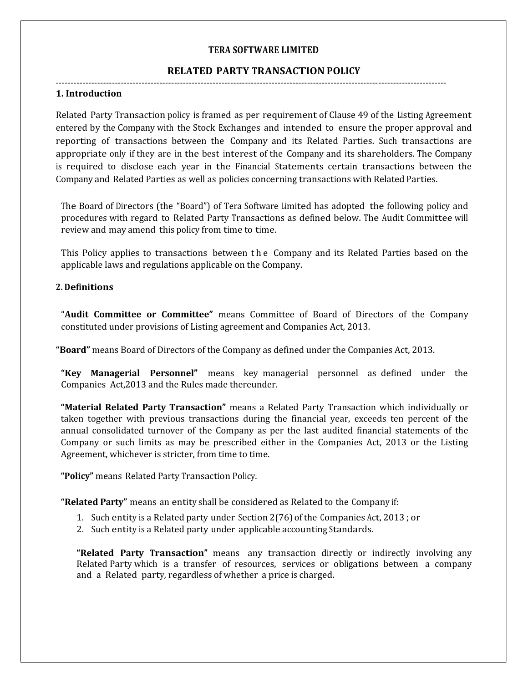# **TERA SOFTWARE LIMITED**

## **RELATED PARTY TRANSACTION POLICY**

# ------------------------------------------------------------------------------------------------------------------------------------ **1. Introduction**

Related Party Transaction policy is framed as per requirement of Clause 49 of the Listing Agreement entered by the Company with the Stock Exchanges and intended to ensure the proper approval and reporting of transactions between the Company and its Related Parties. Such transactions are appropriate only if they are in the best interest of the Company and its shareholders. The Company is required to disclose each year in the Financial Statements certain transactions between the Company and Related Parties as well as policies concerning transactions with Related Parties.

The Board of Directors (the "Board") of Tera Software Limited has adopted the following policy and procedures with regard to Related Party Transactions as defined below. The Audit Committee will review and may amend this policy from time to time.<br>This Policy applies to transactions between t h e Company and its Related review and may amend this policy from time to time.

applicable laws and regulations applicable on the Company.

## **2. Definitions**

"**Audit Committee or Committee"** means Committee of Board of Directors of the Company constituted under provisions of Listing agreement and Companies Act, 2013.

**"Board"** means Board of Directors of the Company as defined under the Companies Act, 2013.

**"Key Managerial Personnel"** means key managerial personnel as defined under the Companies Act,2013 and the Rules made thereunder.

**"Material Related Party Transaction"** means a Related Party Transaction which individually or taken together with previous transactions during the financial year, exceeds ten percent of the annual consolidated turnover of the Company as per the last audited financial statements of the Company or such limits as may be prescribed either in the Companies Act, 2013 or the Listing Agreement, whichever is stricter, from time to time.

**"Policy"** means Related Party Transaction Policy.

**"Related Party"** means an entity shall be considered as Related to the Company if:

- 1. Such entity is a Related party under Section 2(76) of the Companies Act, 2013 ; or
- 2. Such entity is a Related party under applicable accounting Standards.

**"Related Party Transaction"** means any transaction directly or indirectly involving any Related Party which is a transfer of resources, services or obligations between a company and a Related party, regardless of whether a price is charged.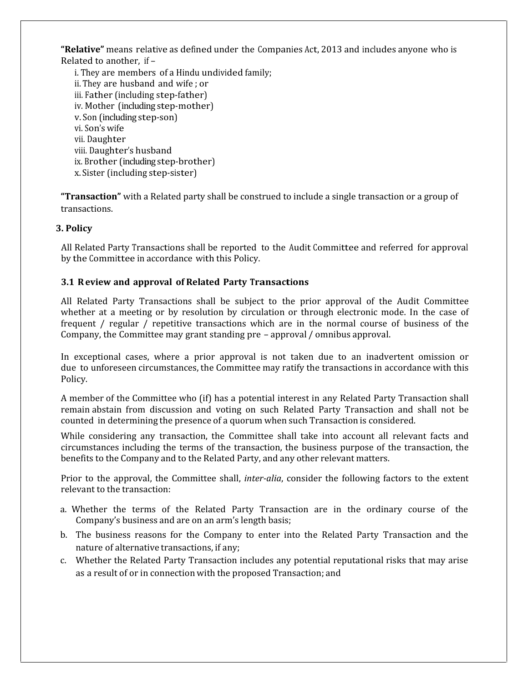**"Relative"** means relative as defined under the Companies Act, 2013 and includes anyone who is Related to another, if –

i. They are members of a Hindu undivided family; ii. They are husband and wife ; or iii. Father (including step-father) iv. Mother (including step-mother) v. Son (including step-son) vi. Son's wife vii. Daughter viii. Daughter's husband ix. Brother (including step-brother)

x. Sister (including step-sister)

**"Transaction"** with a Related party shall be construed to include a single transaction or a group of transactions.

# **3. Policy**

All Related Party Transactions shall be reported to the Audit Committee and referred for approval by the Committee in accordance with this Policy.

## **3.1 Review and approval of Related Party Transactions**

All Related Party Transactions shall be subject to the prior approval of the Audit Committee whether at a meeting or by resolution by circulation or through electronic mode. In the case of frequent / regular / repetitive transactions which are in the normal course of business of the Company, the Committee may grant standing pre – approval / omnibus approval.

In exceptional cases, where a prior approval is not taken due to an inadvertent omission or due to unforeseen circumstances, the Committee may ratify the transactions in accordance with this Policy.

A member of the Committee who (if) has a potential interest in any Related Party Transaction shall remain abstain from discussion and voting on such Related Party Transaction and shall not be counted in determining the presence of a quorum when such Transaction is considered.

While considering any transaction, the Committee shall take into account all relevant facts and circumstances including the terms of the transaction, the business purpose of the transaction, the benefits to the Company and to the Related Party, and any other relevant matters.

Prior to the approval, the Committee shall, *inter-alia*, consider the following factors to the extent relevant to the transaction:

- a. Whether the terms of the Related Party Transaction are in the ordinary course of the Company's business and are on an arm's length basis;
- b. The business reasons for the Company to enter into the Related Party Transaction and the nature of alternative transactions, if any;
- c. Whether the Related Party Transaction includes any potential reputational risks that may arise as a result of or in connection with the proposed Transaction; and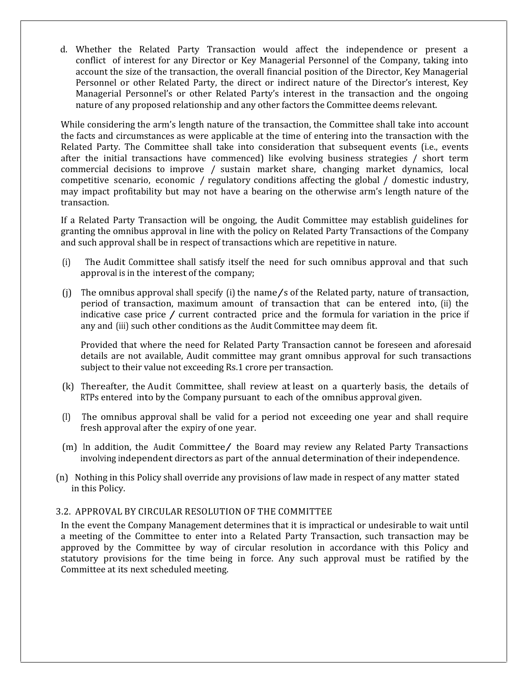d. Whether the Related Party Transaction would affect the independence or present a conflict of interest for any Director or Key Managerial Personnel of the Company, taking into account the size of the transaction, the overall financial position of the Director, Key Managerial Personnel or other Related Party, the direct or indirect nature of the Director's interest, Key Managerial Personnel's or other Related Party's interest in the transaction and the ongoing nature of any proposed relationship and any other factors the Committee deems relevant.

While considering the arm's length nature of the transaction, the Committee shall take into account the facts and circumstances as were applicable at the time of entering into the transaction with the Related Party. The Committee shall take into consideration that subsequent events (i.e., events after the initial transactions have commenced) like evolving business strategies / short term commercial decisions to improve / sustain market share, changing market dynamics, local competitive scenario, economic / regulatory conditions affecting the global / domestic industry, may impact profitability but may not have a bearing on the otherwise arm's length nature of the transaction.

If a Related Party Transaction will be ongoing, the Audit Committee may establish guidelines for granting the omnibus approval in line with the policy on Related Party Transactions of the Company and such approval shall be in respect of transactions which are repetitive in nature.

- (i) The Audit Committee shall satisfy itself the need for such omnibus approval and that such approval is in the interest of the company;
- (j) The omnibus approval shall specify (i) the name/s of the Related party, nature of transaction, period of transaction, maximum amount of transaction that can be entered into, (ii) the indicative case price / current contracted price and the formula for variation in the price if any and (iii) such other conditions as the Audit Committee may deem fit.

Provided that where the need for Related Party Transaction cannot be foreseen and aforesaid details are not available, Audit committee may grant omnibus approval for such transactions subject to their value not exceeding Rs.1 crore per transaction.

- (k) Thereafter, the Audit Committee, shall review at least on a quarterly basis, the details of RTPs entered into by the Company pursuant to each of the omnibus approval given.
- (l) The omnibus approval shall be valid for a period not exceeding one year and shall require fresh approval after the expiry of one year.
- $(m)$  In addition, the Audit Committee/ the Board may review any Related Party Transactions involving independent directors as part of the annual determination of their independence.
- (n) Nothing in this Policy shall override any provisions of law made in respect of any matter stated in this Policy.

## 3.2. APPROVAL BY CIRCULAR RESOLUTION OF THE COMMITTEE

In the event the Company Management determines that it is impractical or undesirable to wait until a meeting of the Committee to enter into a Related Party Transaction, such transaction may be approved by the Committee by way of circular resolution in accordance with this Policy and statutory provisions for the time being in force. Any such approval must be ratified by the Committee at its next scheduled meeting.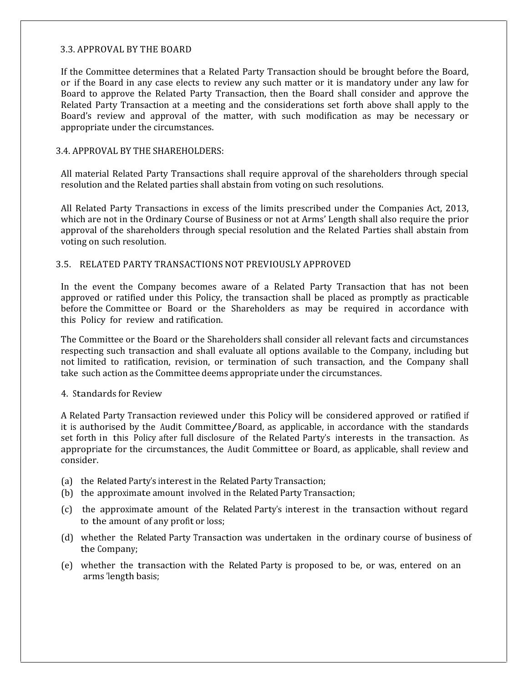## 3.3. APPROVAL BY THE BOARD

If the Committee determines that a Related Party Transaction should be brought before the Board, or if the Board in any case elects to review any such matter or it is mandatory under any law for Board to approve the Related Party Transaction, then the Board shall consider and approve the Related Party Transaction at a meeting and the considerations set forth above shall apply to the Board's review and approval of the matter, with such modification as may be necessary or appropriate under the circumstances.

#### 3.4. APPROVAL BY THE SHAREHOLDERS:

All material Related Party Transactions shall require approval of the shareholders through special resolution and the Related parties shall abstain from voting on such resolutions.

All Related Party Transactions in excess of the limits prescribed under the Companies Act, 2013, which are not in the Ordinary Course of Business or not at Arms' Length shall also require the prior approval of the shareholders through special resolution and the Related Parties shall abstain from voting on such resolution.

#### 3.5. RELATED PARTY TRANSACTIONS NOT PREVIOUSLY APPROVED

In the event the Company becomes aware of a Related Party Transaction that has not been approved or ratified under this Policy, the transaction shall be placed as promptly as practicable before the Committee or Board or the Shareholders as may be required in accordance with this Policy for review and ratification.

The Committee or the Board or the Shareholders shall consider all relevant facts and circumstances respecting such transaction and shall evaluate all options available to the Company, including but not limited to ratification, revision, or termination of such transaction, and the Company shall take such action as the Committee deems appropriate under the circumstances.

#### 4. Standards for Review

A Related Party Transaction reviewed under this Policy will be considered approved or ratified if it is authorised by the Audit Committee/Board, as applicable, in accordance with the standards set forth in this Policy after full disclosure of the Related Party's interests in the transaction. As appropriate for the circumstances, the Audit Committee or Board, as applicable, shall review and consider.

- (a) the Related Party's interestin the Related Party Transaction;
- (b) the approximate amount involved in the Related Party Transaction;
- (c) the approximate amount of the Related Party's interest in the transaction without regard to the amount of any profit or loss;
- (d) whether the Related Party Transaction was undertaken in the ordinary course of business of the Company;
- (e) whether the transaction with the Related Party is proposed to be, or was, entered on an arms 'length basis;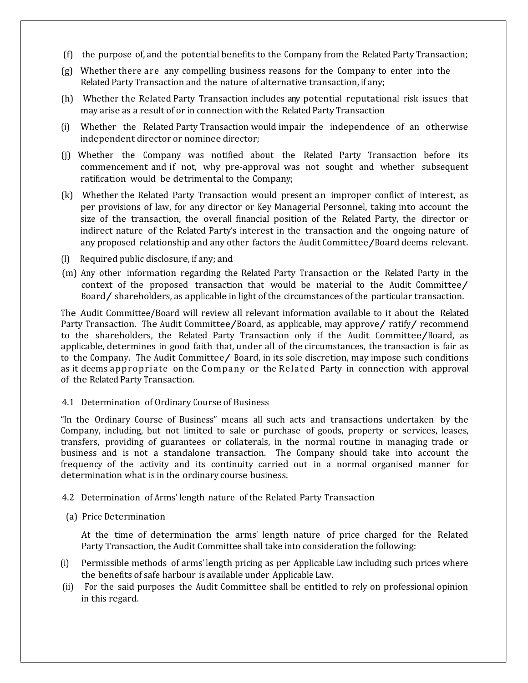- (f) the purpose of, and the potential benefits to the Company from the Related Party Transaction;
- (g) Whether there are any compelling business reasons for the Company to enter into the Related Party Transaction and the nature of alternative transaction, if any;
- (h) Whether the Related Party Transaction includes any potential reputational risk issues that may arise as a result of or in connection with the Related Party Transaction
- (i) Whether the Related Party Transaction would impair the independence of an otherwise independent director or nominee director;
- (j) Whether the Company was notified about the Related Party Transaction before its commencement and if not, why pre-approval was not sought and whether subsequent ratification would be detrimental to the Company;
- (i) Whether the Company was notined about the Related Party Transaction before its<br>commencement and if not, why pre-approval was not sought and whether subsequent<br>ratification would be detrimental to the Company;<br>(k) Wheth per provisions of law, for any director or Key Managerial Personnel, taking into account the size of the transaction, the overall financial position of the Related Party, the director or indirect nature of the Related Party's interest in the transaction and the ongoing nature of any proposed relationship and any other factors the Audit Committee/Board deems relevant.
- (l) Required public disclosure, if any; and
- (m) Any other information regarding the Related Party Transaction or the Related Party in the context of the proposed transaction that would be material to the Audit Committee/ Board/ shareholders, as applicable in light of the circumstances of the particular transaction.

The Audit Committee/Board will review all relevant information available to it about the Related Party Transaction. The Audit Committee/Board, as applicable, may approve/ratify/recommend to the shareholders, the Related Party Transaction only if the Audit Committee/Board, as applicable, determines in good faith that, under all of the circumstances, the transaction is fair as to the Company. The Audit Committee/ Board, in its sole discretion, may impose such conditions as it deems appropriate on the Company or the Related Party in connection with approval of the Related Party Transaction.

4.1 Determination of Ordinary Course of Business

"In the Ordinary Course of Business" means all such acts and transactions undertaken by the Company, including, but not limited to sale or purchase of goods, property or services, leases, transfers, providing of guarantees or collaterals, in the normal routine in managing trade or business and is not a standalone transaction. The Company should take into account the frequency of the activity and its continuity carried out in a normal organised manner for determination what is in the ordinary course business.

4.2 Determination of Arms' length nature of the Related Party Transaction

(a) Price Determination

At the time of determination the arms' length nature of price charged for the Related Party Transaction, the Audit Committee shall take into consideration the following:

- (i) Permissible methods of arms' length pricing as per Applicable Law including such prices where
- (ii) For the said purposes the Audit Committee shall be entitled to rely on professional opinion in this regard.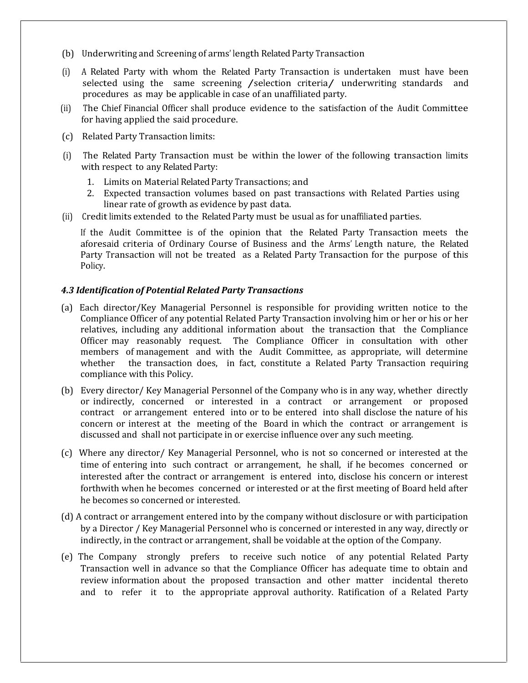- (b) Underwriting and Screening of arms' length Related Party Transaction
- (i) <sup>A</sup> Related Party with whom the Related Party Transaction is undertaken must have been selected using the same screening /selection criteria/ underwriting standards and procedures as may be applicable in case of an unaffiliated party.
- (ii) The Chief Financial Officer shall produce evidence to the satisfaction of the Audit Committee for having applied the said procedure.
- (c) Related Party Transaction limits:
- (i) The Related Party Transaction must be within the lower of the following transaction limits with respect to any Related Party:
	- 1. Limits on Material Related Party Transactions; and
	- 2. Expected transaction volumes based on past transactions with Related Parties using linear rate of growth as evidence by past data.
- (ii) Creditlimits extended to the Related Party must be usual as for unaffiliated parties.

If the Audit Committee is of the opinion that the Related Party Transaction meets the aforesaid criteria of Ordinary Course of Business and the Arms' Length nature, the Related Party Transaction will not be treated as a Related Party Transaction for the purpose of this Policy.

#### *4.3 Identification of Potential Related Party Transactions*

- (a) Each director/Key Managerial Personnel is responsible for providing written notice to the Compliance Officer of any potential Related Party Transaction involving him or her or his or her relatives, including any additional information about the transaction that the Compliance Officer may reasonably request. The Compliance Officer in consultation with other members of management and with the Audit Committee, as appropriate, will determine whether the transaction does. in fact, constitute a Related Party Transaction requiring the transaction does, in fact, constitute a Related Party Transaction requiring compliance with this Policy.
- (b) Every director/ Key Managerial Personnel of the Company who is in any way, whether directly or indirectly, concerned or interested in a contract or arrangement or proposed contract or arrangement entered into or to be entered into shall disclose the nature of his concern or interest at the meeting of the Board in which the contract or arrangement is discussed and shall not participate in or exercise influence over any such meeting.
- (c) Where any director/ Key Managerial Personnel, who is not so concerned or interested at the time of entering into such contract or arrangement, he shall, if he becomes concerned or interested after the contract or arrangement is entered into, disclose his concern or interest forthwith when he becomes concerned or interested or at the first meeting of Board held after he becomes so concerned or interested.
- (d) A contract or arrangement entered into by the company without disclosure or with participation by a Director / Key Managerial Personnel who is concerned or interested in any way, directly or indirectly, in the contract or arrangement, shall be voidable at the option of the Company.
- (e) The Company strongly prefers to receive such notice of any potential Related Party Transaction well in advance so that the Compliance Officer has adequate time to obtain and review information about the proposed transaction and other matter incidental thereto and to refer it to the appropriate approval authority. Ratification of a Related Party